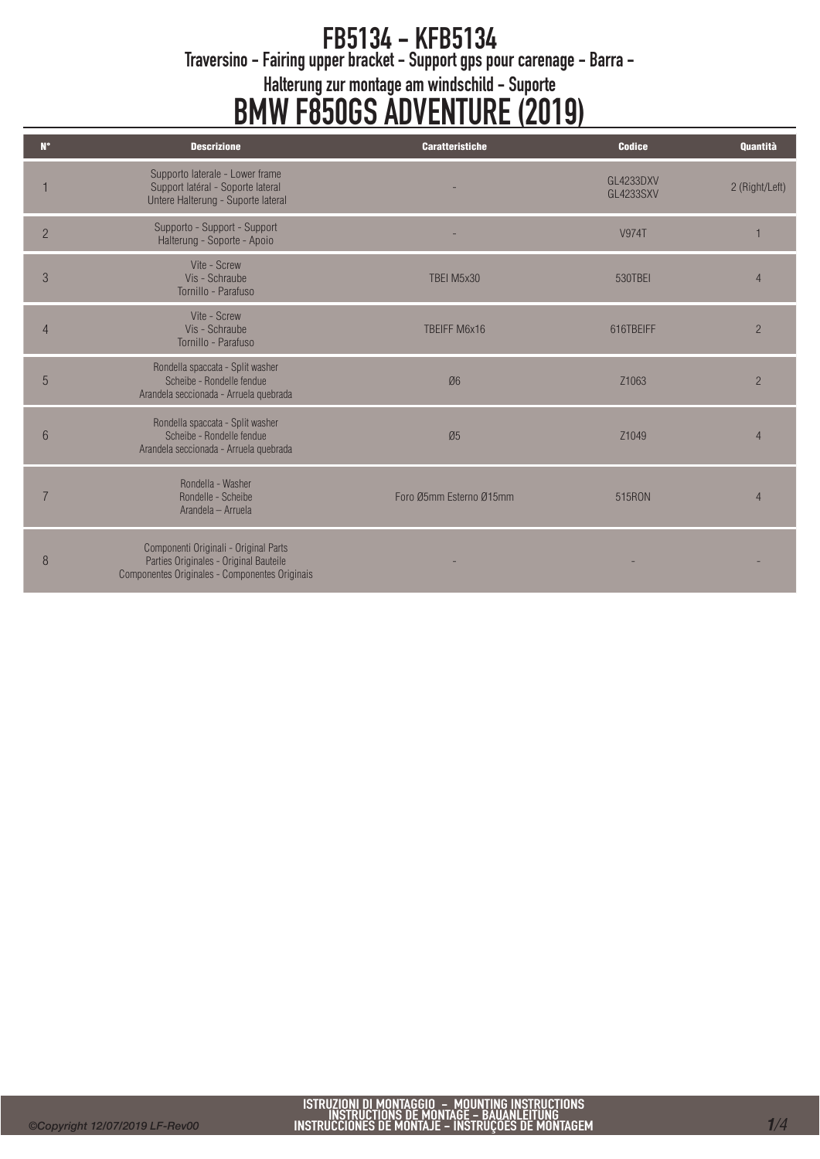#### Traversino - Fairing upper bracket - Support gps pour carenage - Barra - Halterung zur montage am windschild - Suporte FB5134 - KFB5134

# BMW F850GS ADVENTURE (2019)

| $N^{\circ}$     | <b>Descrizione</b>                                                                                                                | <b>Caratteristiche</b>  | <b>Codice</b>                 | Quantità                 |
|-----------------|-----------------------------------------------------------------------------------------------------------------------------------|-------------------------|-------------------------------|--------------------------|
|                 | Supporto laterale - Lower frame<br>Support latéral - Soporte lateral<br>Untere Halterung - Suporte lateral                        |                         | GL4233DXV<br><b>GL4233SXV</b> | 2 (Right/Left)           |
| $\overline{2}$  | Supporto - Support - Support<br>Halterung - Soporte - Apoio                                                                       |                         | <b>V974T</b>                  |                          |
| $\mathcal{S}$   | Vite - Screw<br>Vis - Schraube<br>Tornillo - Parafuso                                                                             | TBEI M5x30              | 530TBEI                       | $\overline{4}$           |
| 4               | Vite - Screw<br>Vis - Schraube<br>Tornillo - Parafuso                                                                             | TBEIFF M6x16            | 616TBFIFF                     | $\overline{2}$           |
| 5               | Rondella spaccata - Split washer<br>Scheibe - Rondelle fendue<br>Arandela seccionada - Arruela quebrada                           | Ø <sub>6</sub>          | Z1063                         | $\overline{2}$           |
| $6\phantom{.}6$ | Rondella spaccata - Split washer<br>Scheibe - Rondelle fendue<br>Arandela seccionada - Arruela quebrada                           | Ø5                      | Z1049                         | $\Delta$                 |
|                 | Rondella - Washer<br>Rondelle - Scheibe<br>Arandela - Arruela                                                                     | Foro Ø5mm Esterno Ø15mm | 515RON                        | $\overline{\mathcal{L}}$ |
| 8               | Componenti Originali - Original Parts<br>Parties Originales - Original Bauteile<br>Componentes Originales - Componentes Originais |                         |                               |                          |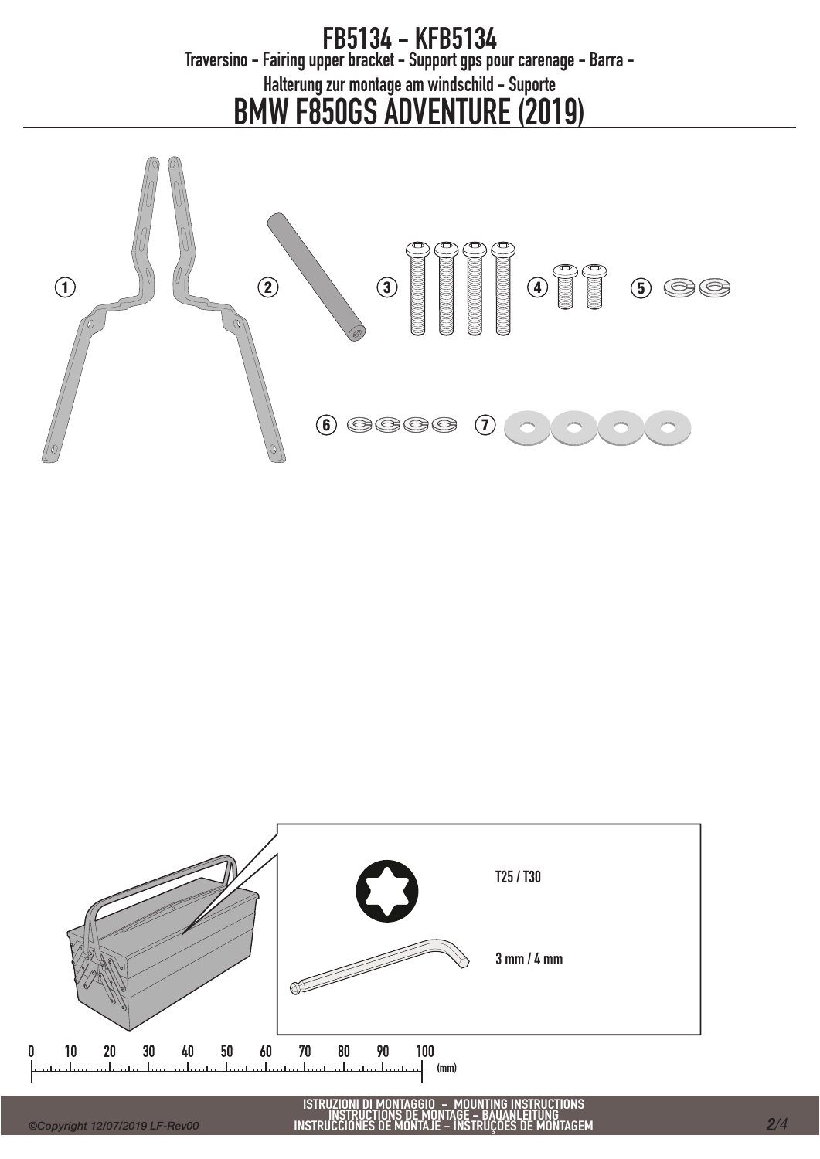#### BMW F850GS ADVENTURE (2019) Traversino - Fairing upper bracket - Support gps pour carenage - Barra - Halterung zur montage am windschild - Suporte FB5134 - KFB5134



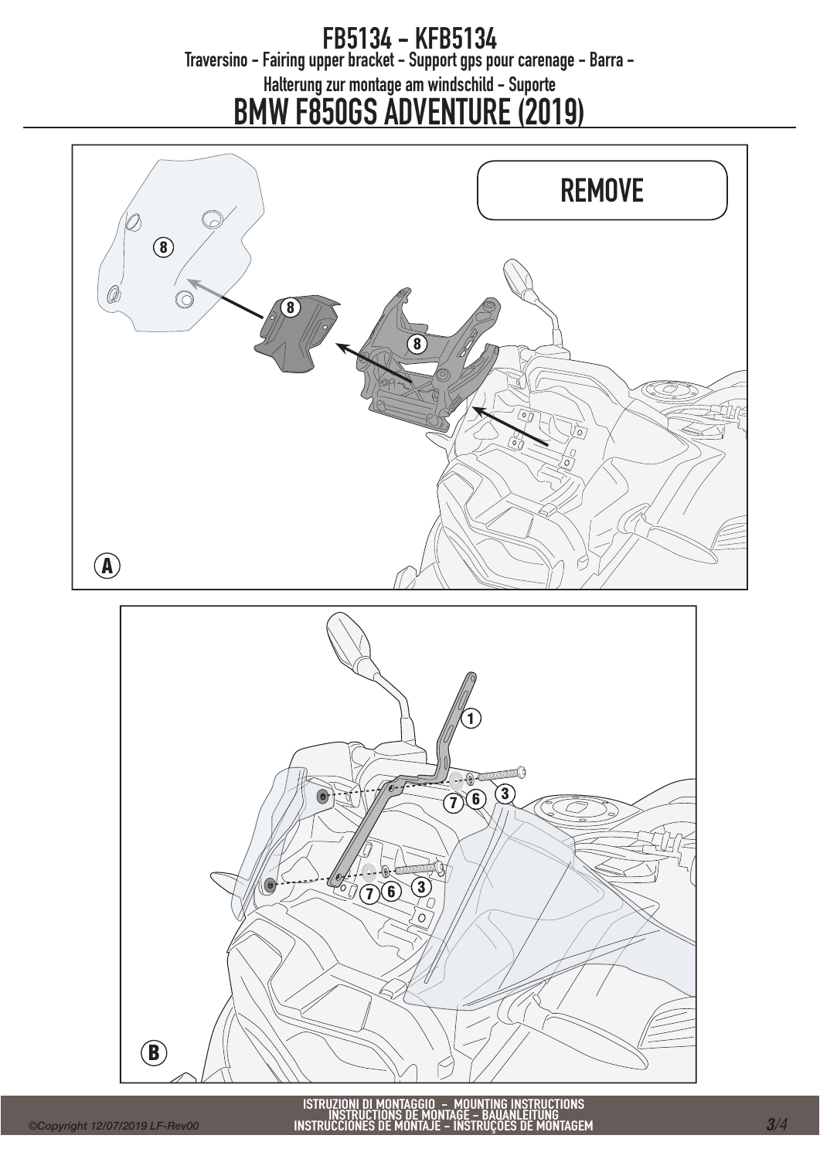### FB5134 - KFB5134

Traversino - Fairing upper bracket - Support gps pour carenage - Barra -

Halterung zur montage am windschild - Suporte

## BMW F850GS ADVENTURE (2019)